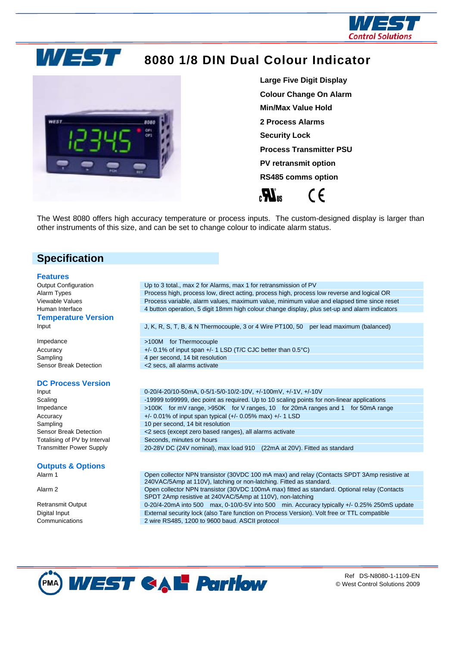



# **8080 1/8 DIN Dual Colour Indicator**



**Large Five Digit Display Colour Change On Alarm Min/Max Value Hold 2 Process Alarms Security Lock Process Transmitter PSU PV retransmit option RS485 comms option** 

(  $\epsilon$ 

The West 8080 offers high accuracy temperature or process inputs. The custom-designed display is larger than other instruments of this size, and can be set to change colour to indicate alarm status.

### **Specification**

#### **Features**

### **Temperature Version**

#### **DC Process Version**

# **Outputs & Options**

Communications 2 wire RS485, 1200 to 9600 baud. ASCII protocol

Output Configuration Up to 3 total., max 2 for Alarms, max 1 for retransmission of PV Alarm Types Process high, process low, direct acting, process high, process low reverse and logical OR Viewable Values **Process variable, alarm values, maximum value**, minimum value and elapsed time since reset Human Interface 4 button operation, 5 digit 18mm high colour change display, plus set-up and alarm indicators

Input J, K, R, S, T, B, & N Thermocouple, 3 or 4 Wire PT100, 50 per lead maximum (balanced)

Impedance >100M for Thermocouple Accuracy **+/-0.1% of input span +/-1 LSD (T/C CJC better than 0.5°C)** Sampling 3-1 and 4 per second, 14 bit resolution Sensor Break Detection <2 secs, all alarms activate

Input 0-20/4-20/10-50mA, 0-5/1-5/0-10/2-10V, +/-100mV, +/-1V, +/-10V Scaling **-19999 to 1999999**, dec point as required. Up to 10 scaling points for non-linear applications Impedance >100K for mV range, >950K for V ranges, 10 for 20mA ranges and 1 for 50mA range Accuracy +/- 0.01% of input span typical (+/- 0.05% max) +/- 1 LSD Sampling 3-10 per second, 14 bit resolution Sensor Break Detection <2 secs (except zero based ranges), all alarms activate Totalising of PV by Interval Seconds, minutes or hours Transmitter Power Supply 20-28V DC (24V nominal), max load 910 (22mA at 20V). Fitted as standard

Open collector NPN transistor (30VDC 100 mA max) and relay (Contacts SPDT 3Amp resistive at 240VAC/5Amp at 110V), latching or non-latching. Fitted as standard. Alarm 2 **Open collector NPN transistor (30VDC 100mA max) fitted as standard. Optional relay (Contacts** SPDT 2Amp resistive at 240VAC/5Amp at 110V), non-latching Retransmit Output 00-20/4-20mA into 500 max, 0-10/0-5V into 500 min. Accuracy typically +/- 0.25% 250mS update Digital Input External security lock (also Tare function on Process Version). Volt free or TTL compatible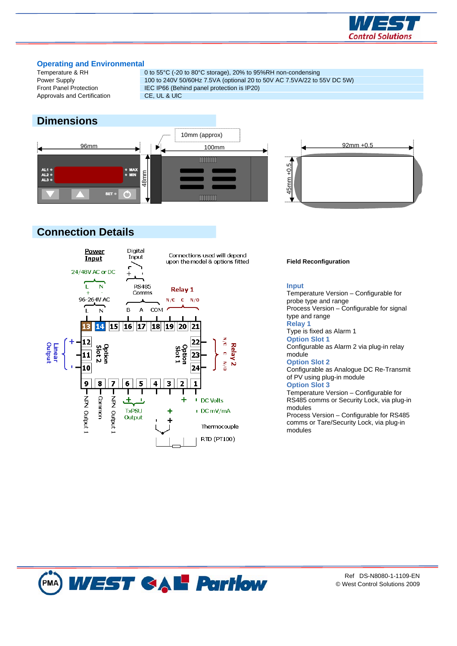

# **Operating and Environmental**<br>Temperature & RH

Approvals and Certification CE, UL & UIC

0 to 55°C (-20 to 80°C storage), 20% to 95%RH non-condensing Power Supply 100 to 240V 50/60Hz 7.5VA (optional 20 to 50V AC 7.5VA/22 to 55V DC 5W) Front Panel Protection **IEC IP66** (Behind panel protection is IP20)

## **Dimensions**





## **Connection Details**



#### **Field Reconfiguration**

#### **Input**

Temperature Version – Configurable for probe type and range Process Version – Configurable for signal type and range

### **Relay 1**

Type is fixed as Alarm 1

#### **Option Slot 1**

Configurable as Alarm 2 via plug-in relay module

#### **Option Slot 2**

Configurable as Analogue DC Re-Transmit of PV using plug-in module

#### **Option Slot 3**

Temperature Version – Configurable for RS485 comms or Security Lock, via plug-in modules

Process Version – Configurable for RS485 comms or Tare/Security Lock, via plug-in modules